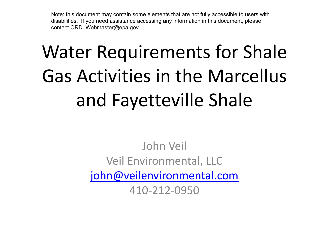Note: this document may contain some elements that are not fully accessible to users with disabilities. If you need assistance accessing any information in this document, please contact ORD\_Webmaster@epa.gov.

# Water Requirements for Shale Gas Activities in the Marcellus and Fayetteville Shale

John Veil Veil Environmental, LLC [john@veilenvironmental.com](mailto:john@veilenvironmental.com) 410-212-0950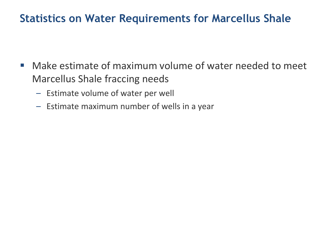### **Statistics on Water Requirements for Marcellus Shale**

- Make estimate of maximum volume of water needed to meet Marcellus Shale fraccing needs
	- Estimate volume of water per well
	- Estimate maximum number of wells in a year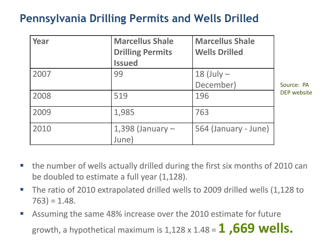## **Pennsylvania Drilling Permits and Wells Drilled**

| Year | <b>Marcellus Shale</b>        | <b>Marcellus Shale</b> |                    |
|------|-------------------------------|------------------------|--------------------|
|      | <b>Drilling Permits</b>       | <b>Wells Drilled</b>   |                    |
|      | <b>Issued</b>                 |                        |                    |
| 2007 | 99                            | $18$ (July $-$         |                    |
|      |                               | December)              | Source: PA         |
| 2008 | 519                           | 196                    | <b>DEP</b> website |
| 2009 | 1,985                         | 763                    |                    |
| 2010 | $1,398$ (January $-$<br>June) | 564 (January - June)   |                    |

- the number of wells actually drilled during the first six months of 2010 can be doubled to estimate a full year (1,128).
- The ratio of 2010 extrapolated drilled wells to 2009 drilled wells (1,128 to  $763$ ) = 1.48.
- Assuming the same 48% increase over the 2010 estimate for future growth, a hypothetical maximum is 1,128 x 1.48 = **1 ,669 wells.**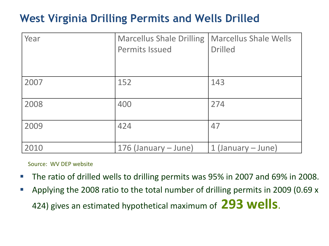## **West Virginia Drilling Permits and Wells Drilled**

| Year | <b>Marcellus Shale Drilling</b><br><b>Permits Issued</b> | <b>Marcellus Shale Wells</b><br><b>Drilled</b> |
|------|----------------------------------------------------------|------------------------------------------------|
|      |                                                          |                                                |
| 2007 | 152                                                      | 143                                            |
| 2008 | 400                                                      | 274                                            |
| 2009 | 424                                                      | 47                                             |
| 2010 | 176 (January – June)                                     | 1 (January – June)                             |

Source: WV DEP website

- The ratio of drilled wells to drilling permits was 95% in 2007 and 69% in 2008.
- Applying the 2008 ratio to the total number of drilling permits in 2009 (0.69 x 424) gives an estimated hypothetical maximum of **293 wells**.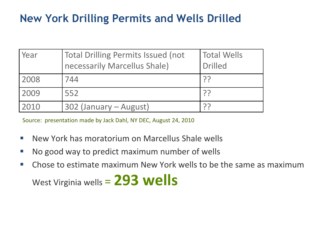## **New York Drilling Permits and Wells Drilled**

| Year | Total Drilling Permits Issued (not<br>necessarily Marcellus Shale) | Total Wells<br><b>Drilled</b> |
|------|--------------------------------------------------------------------|-------------------------------|
| 2008 | 744                                                                | ှာ၁                           |
| 2009 | 552                                                                | ှာ၁                           |
| 2010 | 302 (January - August)                                             |                               |

Source: presentation made by Jack Dahl, NY DEC, August 24, 2010

- $\mathcal{L}^{\text{max}}$ New York has moratorium on Marcellus Shale wells
- $\mathcal{L}^{\text{max}}$ No good way to predict maximum number of wells
- $\mathcal{L}_{\mathcal{A}}$ Chose to estimate maximum New York wells to be the same as maximum West Virginia wells = **293 wells**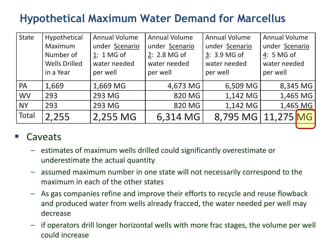## **Hypothetical Maximum Water Demand for Marcellus**

| <b>State</b> | Hypothetical         | <b>Annual Volume</b> | <b>Annual Volume</b> | <b>Annual Volume</b> | <b>Annual Volume</b> |          |
|--------------|----------------------|----------------------|----------------------|----------------------|----------------------|----------|
|              | Maximum              | under Scenario       | under Scenario       | under Scenario       | under Scenario       |          |
|              | Number of            | 1: 1 MG of           | 2: 2.8 MG of         | 3: 3.9 MG of         | 4: 5 MG of           |          |
|              | <b>Wells Drilled</b> | water needed         | water needed         | water needed         | water needed         |          |
|              | in a Year            | per well             | per well             | per well             | per well             |          |
| PA           | 1,669                | 1,669 MG             | 4,673 MG             | 6,509 MG             |                      | 8,345 MG |
| <b>WV</b>    | 293                  | 293 MG               | 820 MG               | 1,142 MG             |                      | 1,465 MG |
| <b>NY</b>    | 293                  | 293 MG               | 820 MG               | 1,142 MG             |                      | 1,465 MG |
| Total        | 2,255                | 2,255 MG             | 6,314 MG             | 8,795 MG             | 11,275 MG            |          |

#### Caveats

- estimates of maximum wells drilled could significantly overestimate or underestimate the actual quantity
- assumed maximum number in one state will not necessarily correspond to the maximum in each of the other states
- As gas companies refine and improve their efforts to recycle and reuse flowback and produced water from wells already fracced, the water needed per well may decrease
- if operators drill longer horizontal wells with more frac stages, the volume per well could increase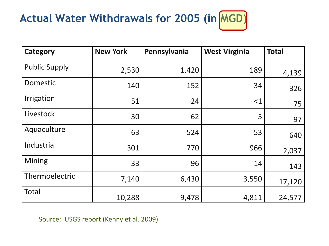## Actual Water Withdrawals for 2005 (in MGD)

| <b>Category</b>      | <b>New York</b> | Pennsylvania | <b>West Virginia</b> | <b>Total</b> |
|----------------------|-----------------|--------------|----------------------|--------------|
| <b>Public Supply</b> | 2,530           | 1,420        | 189                  | 4,139        |
| Domestic             | 140             | 152          | 34                   | 326          |
| Irrigation           | 51              | 24           | <1                   | 75           |
| Livestock            | 30              | 62           | 5                    | 97           |
| Aquaculture          | 63              | 524          | 53                   | 640          |
| Industrial           | 301             | 770          | 966                  | 2,037        |
| <b>Mining</b>        | 33              | 96           | 14                   | 143          |
| Thermoelectric       | 7,140           | 6,430        | 3,550                | 17,120       |
| <b>Total</b>         | 10,288          | 9,478        | 4,811                | 24,577       |

Source: USGS report (Kenny et al. 2009)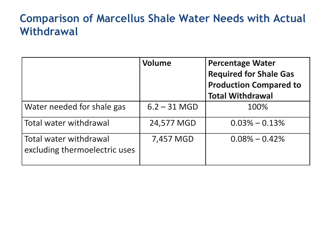## **Comparison of Marcellus Shale Water Needs with Actual Withdrawal**

|                                                         | <b>Volume</b>  | <b>Percentage Water</b><br><b>Required for Shale Gas</b><br><b>Production Compared to</b><br><b>Total Withdrawal</b> |
|---------------------------------------------------------|----------------|----------------------------------------------------------------------------------------------------------------------|
| Water needed for shale gas                              | $6.2 - 31$ MGD | 100%                                                                                                                 |
| Total water withdrawal                                  | 24,577 MGD     | $0.03\% - 0.13\%$                                                                                                    |
| Total water withdrawal<br>excluding thermoelectric uses | 7,457 MGD      | $0.08\% - 0.42\%$                                                                                                    |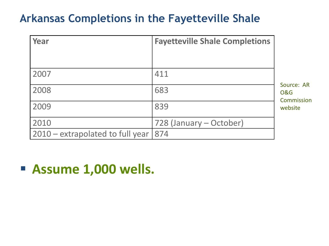## **Arkansas Completions in the Fayetteville Shale**

| Year                             | <b>Fayetteville Shale Completions</b> |                                            |
|----------------------------------|---------------------------------------|--------------------------------------------|
|                                  |                                       |                                            |
| 2007                             | 411                                   |                                            |
| 2008                             | 683                                   | Source: AR<br><b>O&amp;G</b><br>Commission |
| 2009                             | 839                                   | website                                    |
| 2010                             | 728 (January – October)               |                                            |
| 2010 – extrapolated to full year | 874                                   |                                            |

**Assume 1,000 wells.**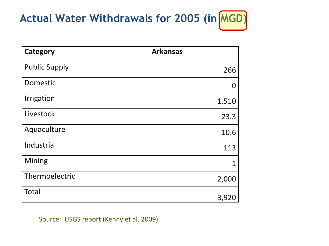## Actual Water Withdrawals for 2005 (in MGD)

| <b>Category</b>      | <b>Arkansas</b> |
|----------------------|-----------------|
| <b>Public Supply</b> | 266             |
| Domestic             |                 |
| Irrigation           | 1,510           |
| Livestock            | 23.3            |
| Aquaculture          | 10.6            |
| Industrial           | 113             |
| Mining               | 1               |
| Thermoelectric       | 2,000           |
| <b>Total</b>         | 3,920           |

Source: USGS report (Kenny et al. 2009)